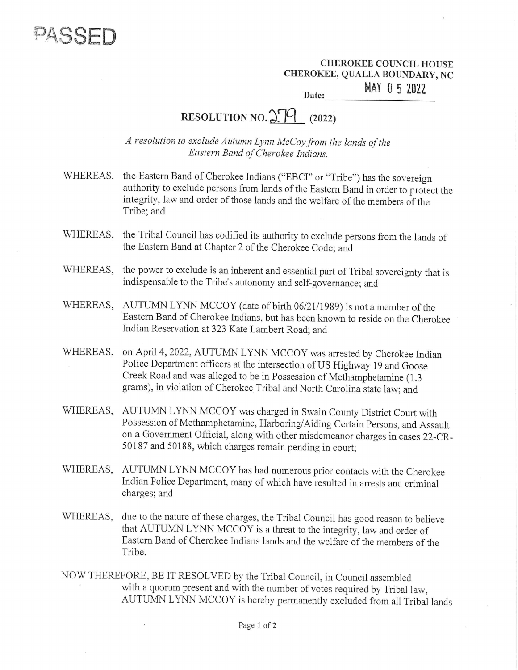

CHEROKEE COUNCIL HOUSE CHEROKEE, QUALLA BOUNDARY, NC Date: **MAY 0 5 2022** EREOKEE<br>EE, QUALLA<br>MAY

## RESOLUTION NO.  $279$  (2022)

A resolution to exclude Autumn Lynn McCoy from the lands of the Eastern Band of Cherokee Indians.

- WHEREAS, the Eastern Band of Cherokee Indians ("EBCI" or "Tribe") has the sovereign authority to exclude persons from lands of the Eastern Band in order to protect the integrity, law and order of those lands and the welfar Tribe; and
- WHEREAS, the Tribal Council has codified its authority to exclude persons from the lands of the Eastern Band at Chapter 2 of the Cherokee Code; and
- WHEREAS, the power to exclude is an inherent and essential part of Tribal sovereignty that is indispensable to the Tribe's autonomy and self-governance; and
- WHEREAS, AUTUMN LYNN MCCOY (date of birth 06/21/1989) is not a member of the Eastern Band of Cherokee Indians, but has been known to reside on the Cherokee Indian Reservation at 323 Kate Lambert Road; and
- WHEREAS, on April 4, 2022, AUTUMN LYNN MCCOY was arrested by Cherokee Indian Police Department officers at the intersection of US Highway 19 and Goose Creek Road and was alleged to be in Possession of Methamphetamine (1.3
- WHEREAS, AUTUMN LYNN MCCOY was charged in Swain County District Court with<br>Possession of Methamphetamine, Harboring/Aiding Certain Persons, and Assault<br>on a Government Official, along with other misdemeanor charges in case
- WHEREAS, AUTUMN LYNN MCCOY has had numerous prior contacts with the Cherokee Indian Police Department, many of which have resulted in arrests and criminal charges; and
- WHEREAS, due to the nature of these charges, the Tribal Council has good reason to believe<br>that AUTUMN LYNN MCCOY is a threat to the integrity, law and order of<br>Eastern Band of Cherokee Indians lands and the welfare of the
- NOW THEREFORE, BE IT RESOLVED by the Tribal Council, in Council assembled with a quorum present and with the number of votes required by Tribal law, AUTUMN LYNN MCCOY is hereby permanently excluded from all Tribal lands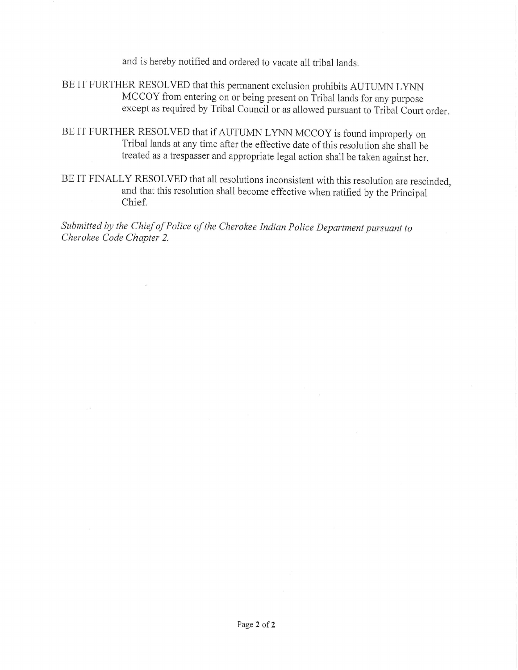and is hereby notified and ordered to vacate all tribal lands.

- BE IT FURTHER RESOLVED that this permanent exclusion prohibits AUTUMN LYNN MCCOY from entering on or being present on Tribal lands for any purpose except as required by Tribal Council or as allowed pursuant to Tribal Court order,
- BE IT FURTHER RESOLVED that if AUTUMN LYNN MCCOY is found improperly on<br>Tribal lands at any time after the effective date of this resolution she shall be<br>treated as a trespasser and appropriate legal action shall be taken
- BE IT FINALLY RESOLVED that all resolutions inconsistent with this resolution are rescinded and that this resolution shall become effective when ratified by the Principal Chief. >

Submitted by the Chief of Police of the Cherokee Indian Police Department pursuant to Cherokee Code Chapter 2.